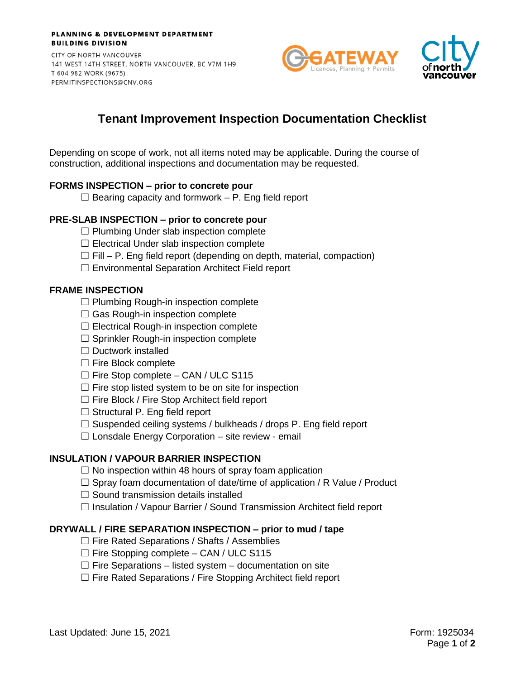#### PLANNING & DEVELOPMENT DEPARTMENT **BUILDING DIVISION**

CITY OF NORTH VANCOUVER 141 WEST 14TH STREET, NORTH VANCOUVER, BC V7M 1H9 T 604 982 WORK (9675) PERMITINSPECTIONS@CNV.ORG





# **Tenant Improvement Inspection Documentation Checklist**

Depending on scope of work, not all items noted may be applicable. During the course of construction, additional inspections and documentation may be requested.

# **FORMS INSPECTION – prior to concrete pour**

 $\Box$  Bearing capacity and formwork – P. Eng field report

# **PRE-SLAB INSPECTION – prior to concrete pour**

- $\Box$  Plumbing Under slab inspection complete
- $\Box$  Electrical Under slab inspection complete
- $\Box$  Fill P. Eng field report (depending on depth, material, compaction)
- ☐ Environmental Separation Architect Field report

#### **FRAME INSPECTION**

- $\Box$  Plumbing Rough-in inspection complete
- $\Box$  Gas Rough-in inspection complete
- $\Box$  Electrical Rough-in inspection complete
- ☐ Sprinkler Rough-in inspection complete
- $\Box$  Ductwork installed
- ☐ Fire Block complete
- $\Box$  Fire Stop complete CAN / ULC S115
- $\Box$  Fire stop listed system to be on site for inspection
- ☐ Fire Block / Fire Stop Architect field report
- $\Box$  Structural P. Eng field report
- $\Box$  Suspended ceiling systems / bulkheads / drops P. Eng field report
- $\Box$  Lonsdale Energy Corporation site review email

# **INSULATION / VAPOUR BARRIER INSPECTION**

- $\Box$  No inspection within 48 hours of spray foam application
- $\Box$  Spray foam documentation of date/time of application / R Value / Product
- $\Box$  Sound transmission details installed
- ☐ Insulation / Vapour Barrier / Sound Transmission Architect field report

# **DRYWALL / FIRE SEPARATION INSPECTION – prior to mud / tape**

- $\Box$  Fire Rated Separations / Shafts / Assemblies
- $\Box$  Fire Stopping complete CAN / ULC S115
- $\Box$  Fire Separations listed system documentation on site
- ☐ Fire Rated Separations / Fire Stopping Architect field report